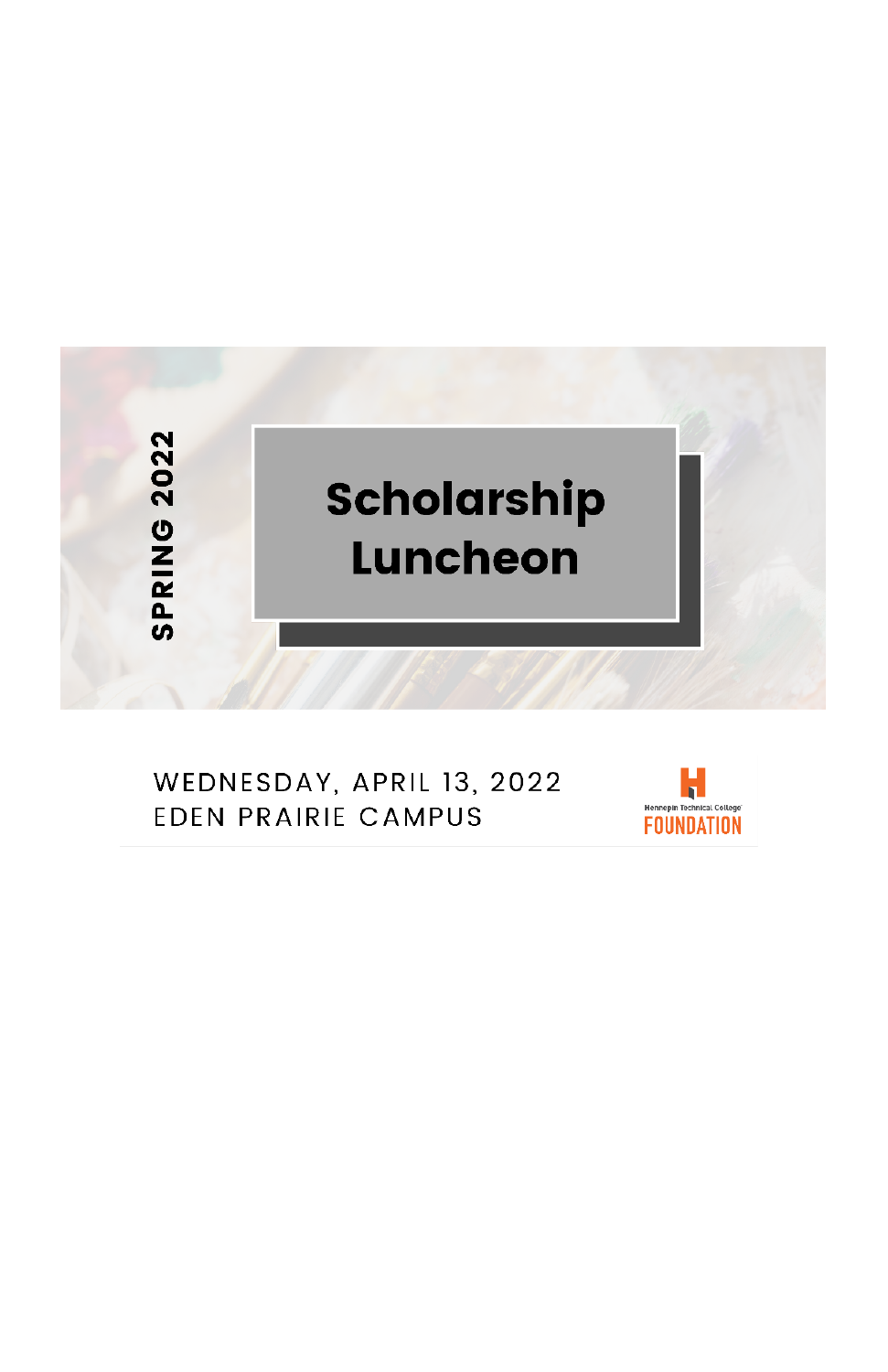

#### WEDNESDAY, APRIL 13, 2022 **EDEN PRAIRIE CAMPUS**

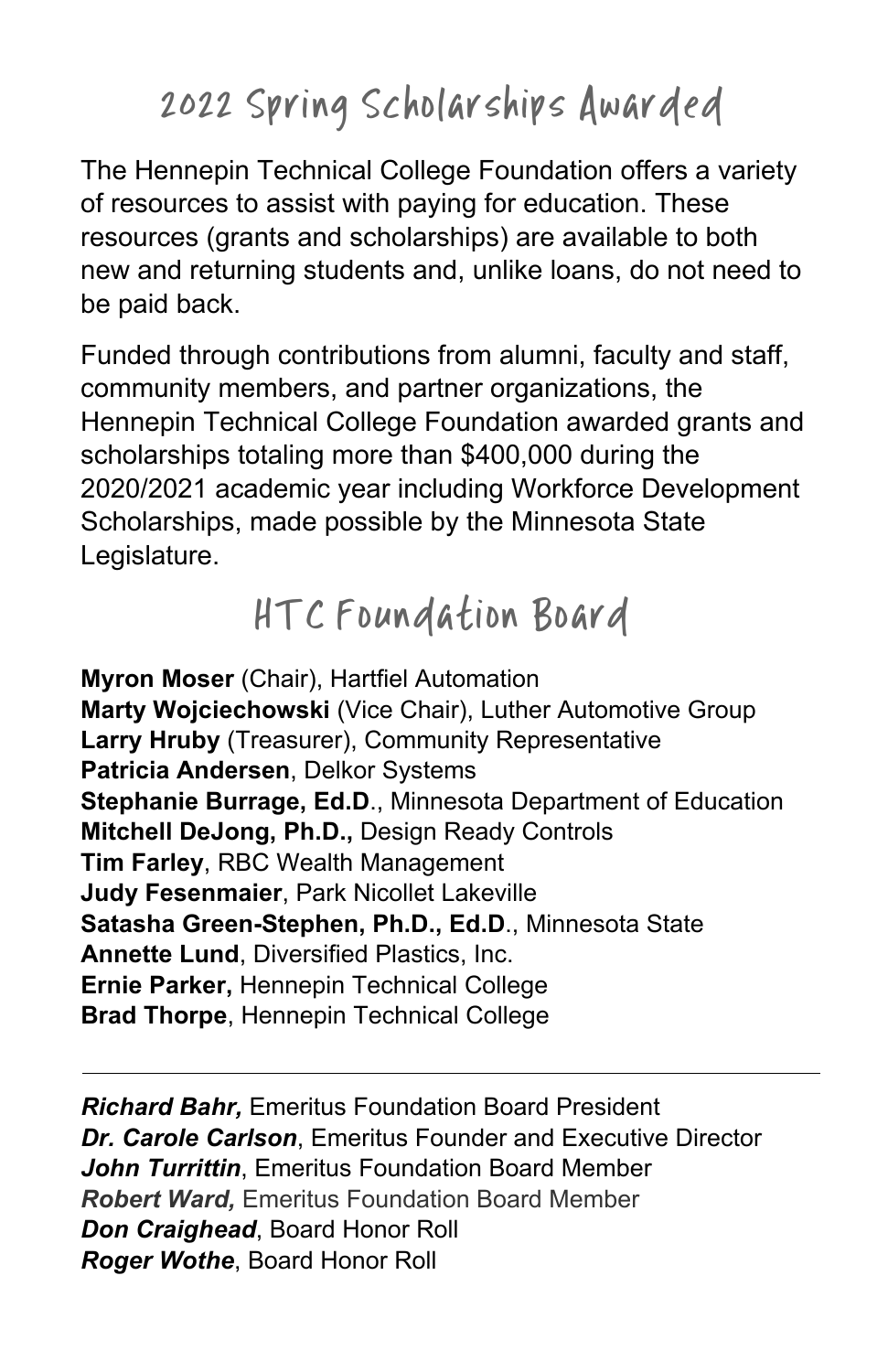# 2022 Spring Scholarships Awarded

The Hennepin Technical College Foundation offers a variety of resources to assist with paying for education. These resources (grants and scholarships) are available to both new and returning students and, unlike loans, do not need to be paid back.

Funded through contributions from alumni, faculty and staff, community members, and partner organizations, the Hennepin Technical College Foundation awarded grants and scholarships totaling more than \$400,000 during the 2020/2021 academic year including Workforce Development Scholarships, made possible by the Minnesota State Legislature.

# HTC Foundation Board

**Myron Moser** (Chair), Hartfiel Automation **Marty Wojciechowski** (Vice Chair), Luther Automotive Group **Larry Hruby** (Treasurer), Community Representative **Patricia Andersen**, Delkor Systems **Stephanie Burrage, Ed.D**., Minnesota Department of Education **Mitchell DeJong, Ph.D.,** Design Ready Controls **Tim Farley**, RBC Wealth Management **Judy Fesenmaier**, Park Nicollet Lakeville **Satasha Green-Stephen, Ph.D., Ed.D**., Minnesota State **Annette Lund**, Diversified Plastics, Inc. **Ernie Parker,** Hennepin Technical College **Brad Thorpe**, Hennepin Technical College

*Richard Bahr,* Emeritus Foundation Board President *Dr. Carole Carlson*, Emeritus Founder and Executive Director *John Turrittin*, Emeritus Foundation Board Member *Robert Ward,* Emeritus Foundation Board Member *Don Craighead*, Board Honor Roll *Roger Wothe*, Board Honor Roll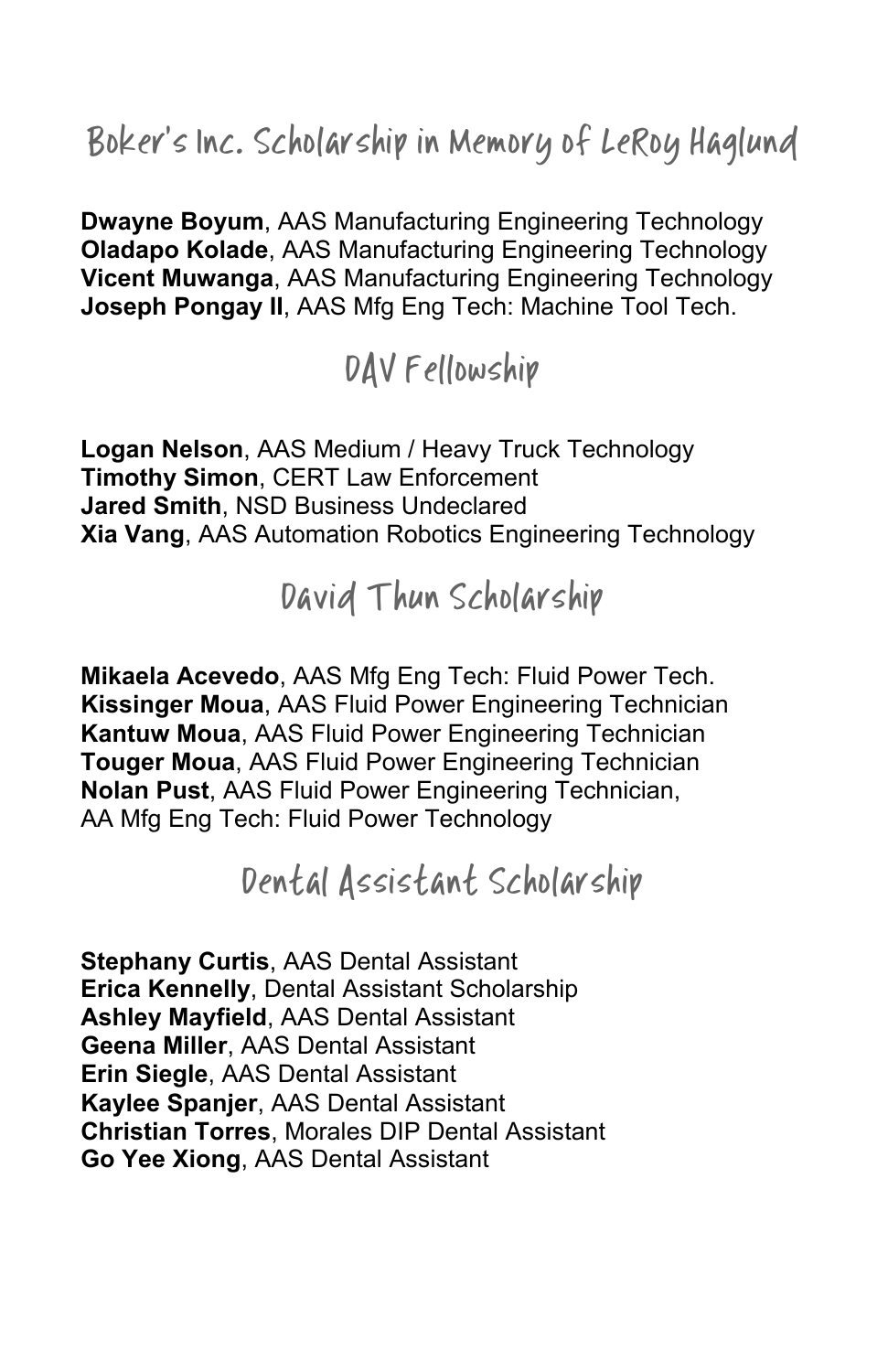Boker's Inc. Scholarship in Memory of LeRoy Haglund

**Dwayne Boyum**, AAS Manufacturing Engineering Technology **Oladapo Kolade**, AAS Manufacturing Engineering Technology **Vicent Muwanga**, AAS Manufacturing Engineering Technology **Joseph Pongay II**, AAS Mfg Eng Tech: Machine Tool Tech.

### DAV Fellowship

**Logan Nelson**, AAS Medium / Heavy Truck Technology **Timothy Simon**, CERT Law Enforcement **Jared Smith**, NSD Business Undeclared **Xia Vang**, AAS Automation Robotics Engineering Technology

#### David Thun Scholarship

**Mikaela Acevedo**, AAS Mfg Eng Tech: Fluid Power Tech. **Kissinger Moua**, AAS Fluid Power Engineering Technician **Kantuw Moua**, AAS Fluid Power Engineering Technician **Touger Moua**, AAS Fluid Power Engineering Technician **Nolan Pust**, AAS Fluid Power Engineering Technician, AA Mfg Eng Tech: Fluid Power Technology

### Dental Assistant Scholarship

**Stephany Curtis**, AAS Dental Assistant **Erica Kennelly**, Dental Assistant Scholarship **Ashley Mayfield**, AAS Dental Assistant **Geena Miller**, AAS Dental Assistant **Erin Siegle**, AAS Dental Assistant **Kaylee Spanjer**, AAS Dental Assistant **Christian Torres**, Morales DIP Dental Assistant **Go Yee Xiong**, AAS Dental Assistant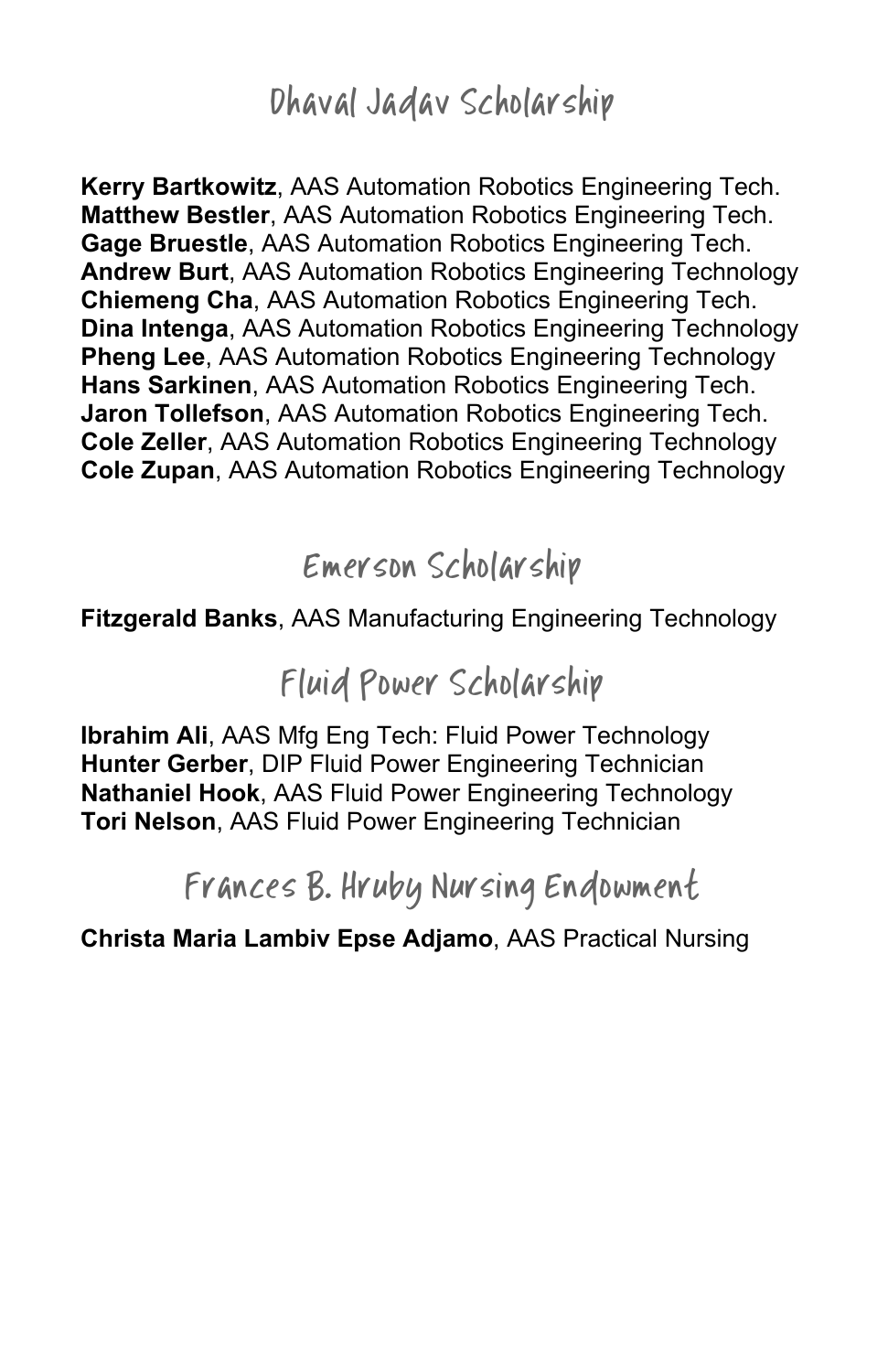#### Dhaval Jadav Scholarship

**Kerry Bartkowitz**, AAS Automation Robotics Engineering Tech. **Matthew Bestler**, AAS Automation Robotics Engineering Tech. **Gage Bruestle**, AAS Automation Robotics Engineering Tech. **Andrew Burt**, AAS Automation Robotics Engineering Technology **Chiemeng Cha**, AAS Automation Robotics Engineering Tech. **Dina Intenga**, AAS Automation Robotics Engineering Technology **Pheng Lee**, AAS Automation Robotics Engineering Technology **Hans Sarkinen**, AAS Automation Robotics Engineering Tech. **Jaron Tollefson**, AAS Automation Robotics Engineering Tech. **Cole Zeller**, AAS Automation Robotics Engineering Technology **Cole Zupan**, AAS Automation Robotics Engineering Technology

#### Emerson Scholarship

#### **Fitzgerald Banks**, AAS Manufacturing Engineering Technology

#### Fluid Power Scholarship

**Ibrahim Ali**, AAS Mfg Eng Tech: Fluid Power Technology **Hunter Gerber**, DIP Fluid Power Engineering Technician **Nathaniel Hook**, AAS Fluid Power Engineering Technology **Tori Nelson**, AAS Fluid Power Engineering Technician

#### Frances B. Hruby Nursing Endowment

**Christa Maria Lambiv Epse Adjamo**, AAS Practical Nursing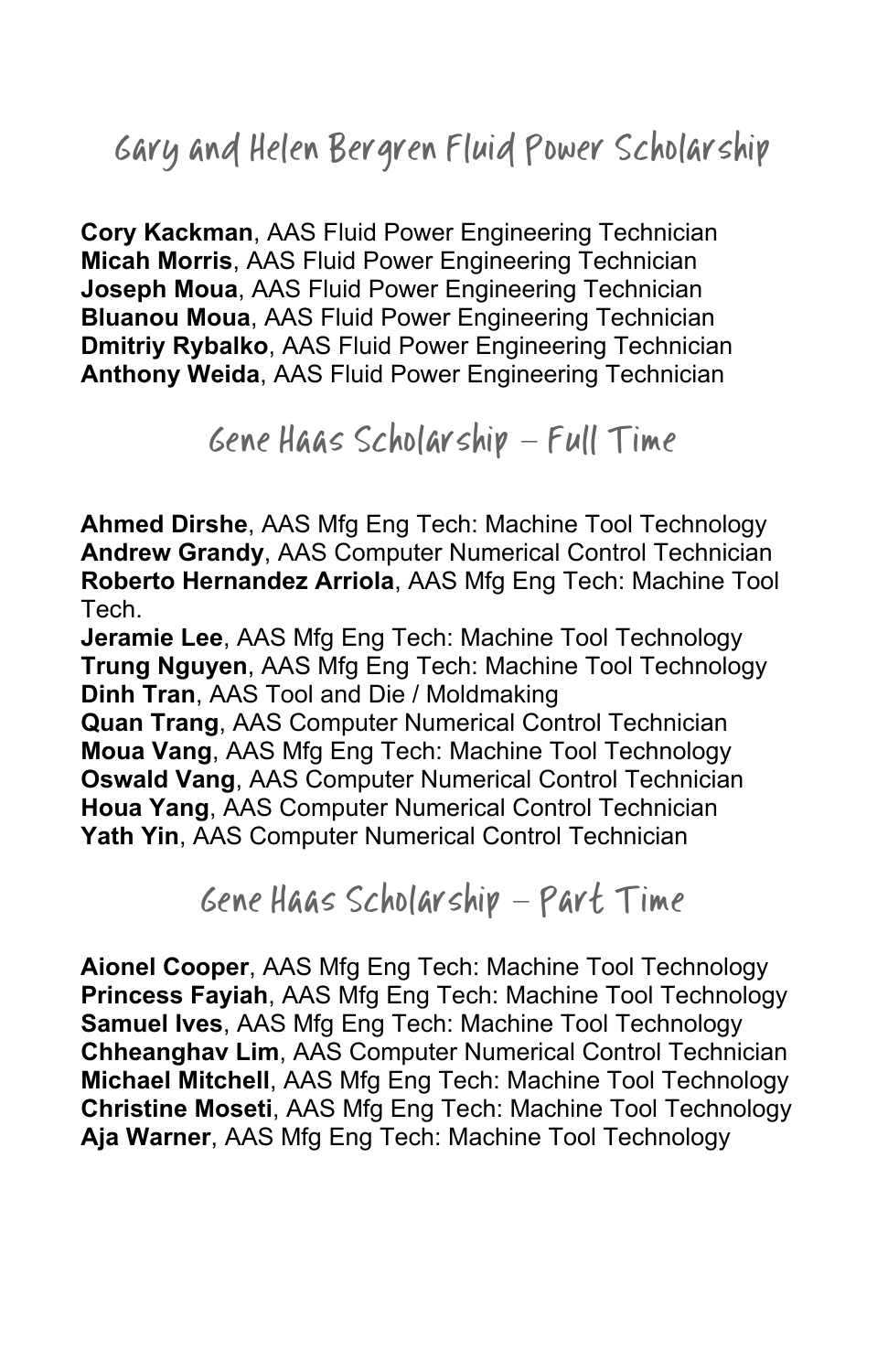## Gary and Helen Bergren Fluid Power Scholarship

**Cory Kackman**, AAS Fluid Power Engineering Technician **Micah Morris**, AAS Fluid Power Engineering Technician **Joseph Moua**, AAS Fluid Power Engineering Technician **Bluanou Moua**, AAS Fluid Power Engineering Technician **Dmitriy Rybalko**, AAS Fluid Power Engineering Technician **Anthony Weida**, AAS Fluid Power Engineering Technician

Gene Haas Scholarship – Full Time

**Ahmed Dirshe**, AAS Mfg Eng Tech: Machine Tool Technology **Andrew Grandy**, AAS Computer Numerical Control Technician **Roberto Hernandez Arriola**, AAS Mfg Eng Tech: Machine Tool Tech.

**Jeramie Lee**, AAS Mfg Eng Tech: Machine Tool Technology **Trung Nguyen**, AAS Mfg Eng Tech: Machine Tool Technology **Dinh Tran**, AAS Tool and Die / Moldmaking **Quan Trang**, AAS Computer Numerical Control Technician **Moua Vang**, AAS Mfg Eng Tech: Machine Tool Technology **Oswald Vang**, AAS Computer Numerical Control Technician **Houa Yang**, AAS Computer Numerical Control Technician

**Yath Yin**, AAS Computer Numerical Control Technician

Gene Haas Scholarship – Part Time

**Aionel Cooper**, AAS Mfg Eng Tech: Machine Tool Technology **Princess Fayiah**, AAS Mfg Eng Tech: Machine Tool Technology **Samuel Ives**, AAS Mfg Eng Tech: Machine Tool Technology **Chheanghav Lim**, AAS Computer Numerical Control Technician **Michael Mitchell**, AAS Mfg Eng Tech: Machine Tool Technology **Christine Moseti**, AAS Mfg Eng Tech: Machine Tool Technology **Aja Warner**, AAS Mfg Eng Tech: Machine Tool Technology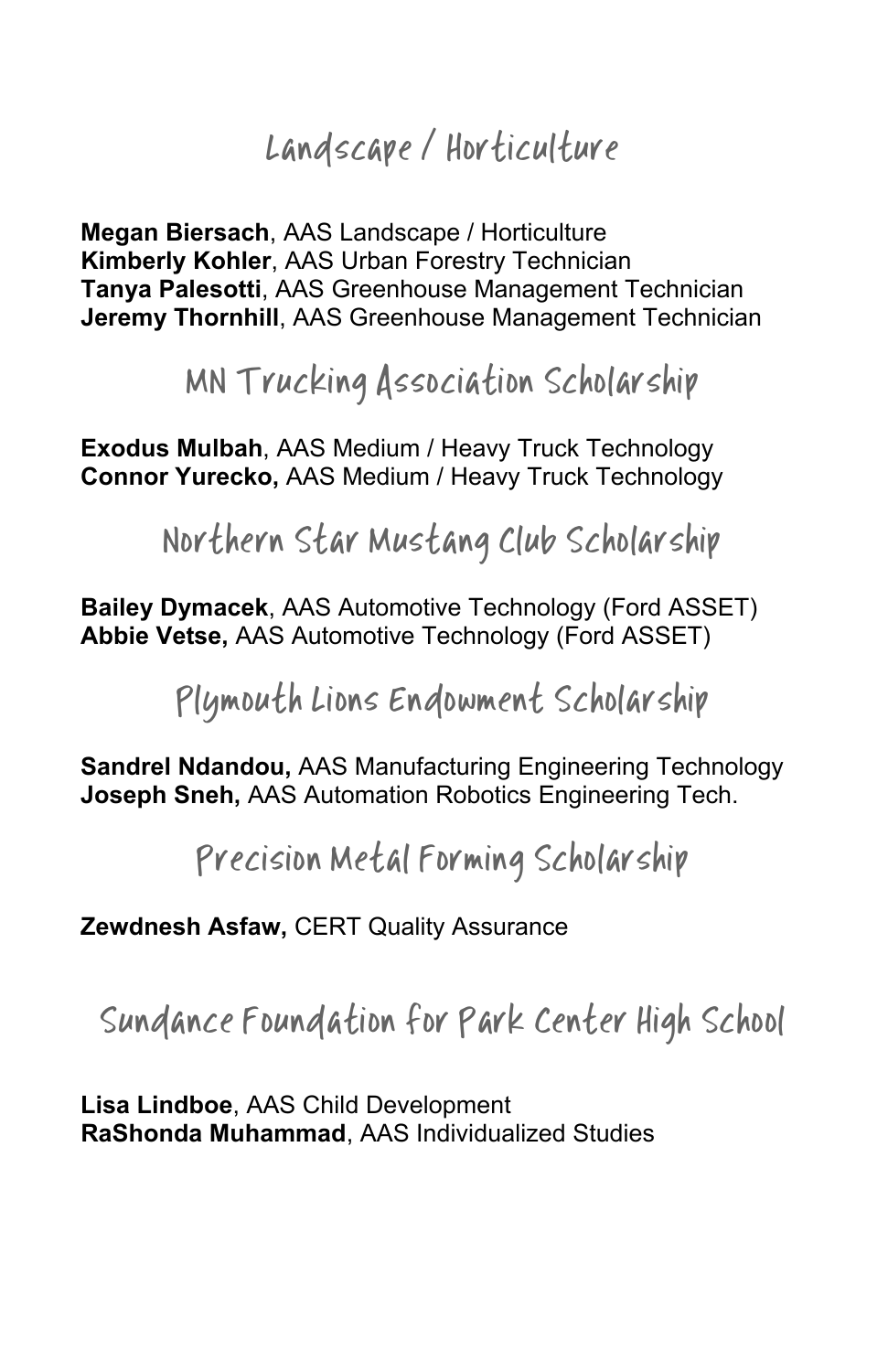## Landscape / Horticulture

**Megan Biersach**, AAS Landscape / Horticulture **Kimberly Kohler**, AAS Urban Forestry Technician **Tanya Palesotti**, AAS Greenhouse Management Technician **Jeremy Thornhill**, AAS Greenhouse Management Technician

MN Trucking Association Scholarship

**Exodus Mulbah**, AAS Medium / Heavy Truck Technology **Connor Yurecko,** AAS Medium / Heavy Truck Technology

Northern Star Mustang Club Scholarship

**Bailey Dymacek**, AAS Automotive Technology (Ford ASSET) **Abbie Vetse,** AAS Automotive Technology (Ford ASSET)

Plymouth Lions Endowment Scholarship

**Sandrel Ndandou,** AAS Manufacturing Engineering Technology **Joseph Sneh,** AAS Automation Robotics Engineering Tech.

Precision Metal Forming Scholarship

**Zewdnesh Asfaw,** CERT Quality Assurance

Sundance Foundation for Park Center High School

**Lisa Lindboe**, AAS Child Development **RaShonda Muhammad**, AAS Individualized Studies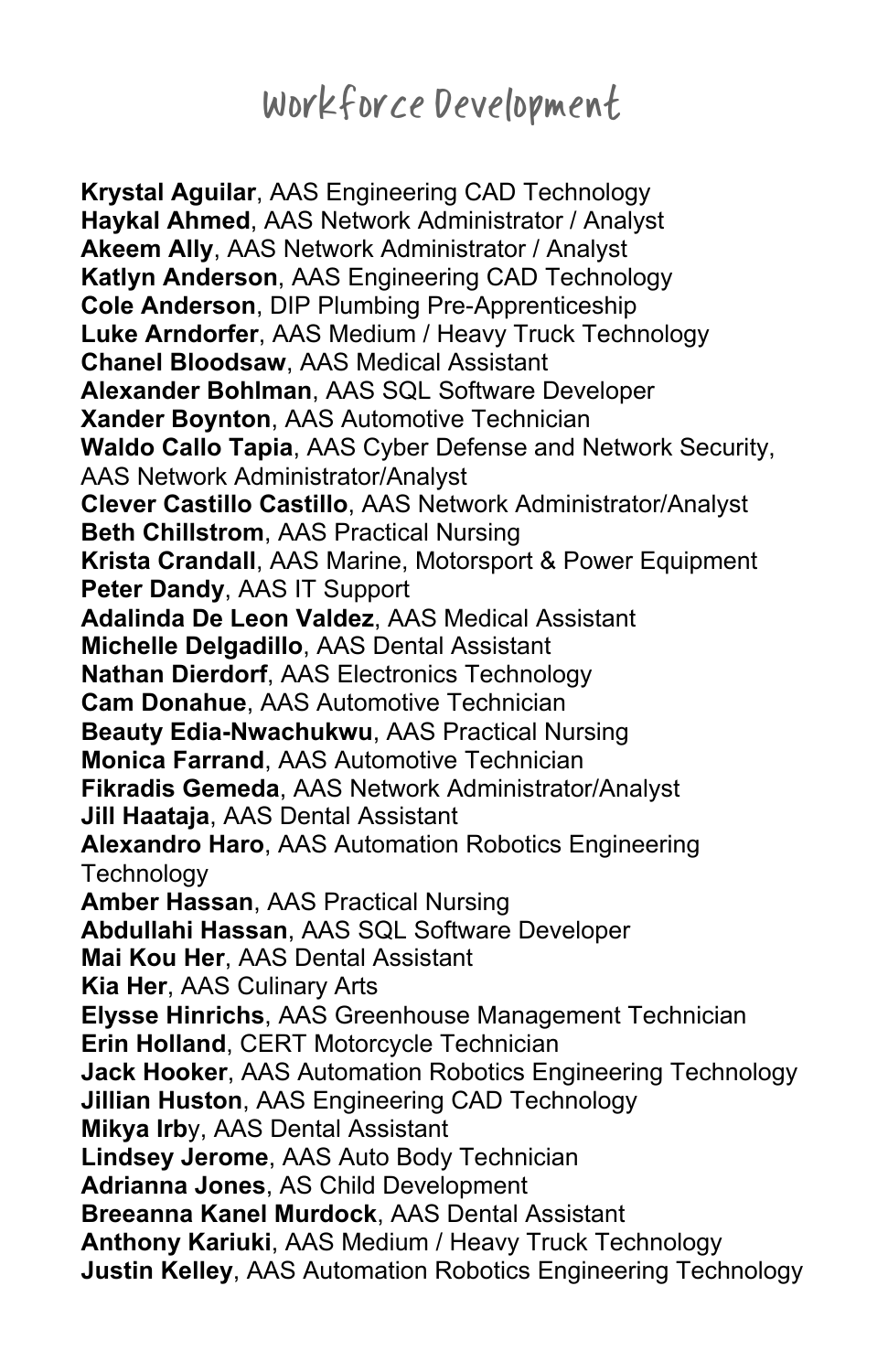## Workforce Development

**Krystal Aguilar**, AAS Engineering CAD Technology **Haykal Ahmed**, AAS Network Administrator / Analyst **Akeem Ally**, AAS Network Administrator / Analyst **Katlyn Anderson**, AAS Engineering CAD Technology **Cole Anderson**, DIP Plumbing Pre-Apprenticeship **Luke Arndorfer**, AAS Medium / Heavy Truck Technology **Chanel Bloodsaw**, AAS Medical Assistant **Alexander Bohlman**, AAS SQL Software Developer **Xander Boynton**, AAS Automotive Technician **Waldo Callo Tapia**, AAS Cyber Defense and Network Security, AAS Network Administrator/Analyst **Clever Castillo Castillo**, AAS Network Administrator/Analyst **Beth Chillstrom**, AAS Practical Nursing **Krista Crandall**, AAS Marine, Motorsport & Power Equipment **Peter Dandy**, AAS IT Support **Adalinda De Leon Valdez**, AAS Medical Assistant **Michelle Delgadillo**, AAS Dental Assistant **Nathan Dierdorf**, AAS Electronics Technology **Cam Donahue**, AAS Automotive Technician **Beauty Edia-Nwachukwu**, AAS Practical Nursing **Monica Farrand**, AAS Automotive Technician **Fikradis Gemeda**, AAS Network Administrator/Analyst **Jill Haataja**, AAS Dental Assistant **Alexandro Haro**, AAS Automation Robotics Engineering **Technology Amber Hassan**, AAS Practical Nursing **Abdullahi Hassan**, AAS SQL Software Developer **Mai Kou Her**, AAS Dental Assistant **Kia Her**, AAS Culinary Arts **Elysse Hinrichs**, AAS Greenhouse Management Technician **Erin Holland**, CERT Motorcycle Technician **Jack Hooker**, AAS Automation Robotics Engineering Technology **Jillian Huston**, AAS Engineering CAD Technology **Mikya Irb**y, AAS Dental Assistant **Lindsey Jerome**, AAS Auto Body Technician **Adrianna Jones**, AS Child Development **Breeanna Kanel Murdock**, AAS Dental Assistant **Anthony Kariuki**, AAS Medium / Heavy Truck Technology **Justin Kelley**, AAS Automation Robotics Engineering Technology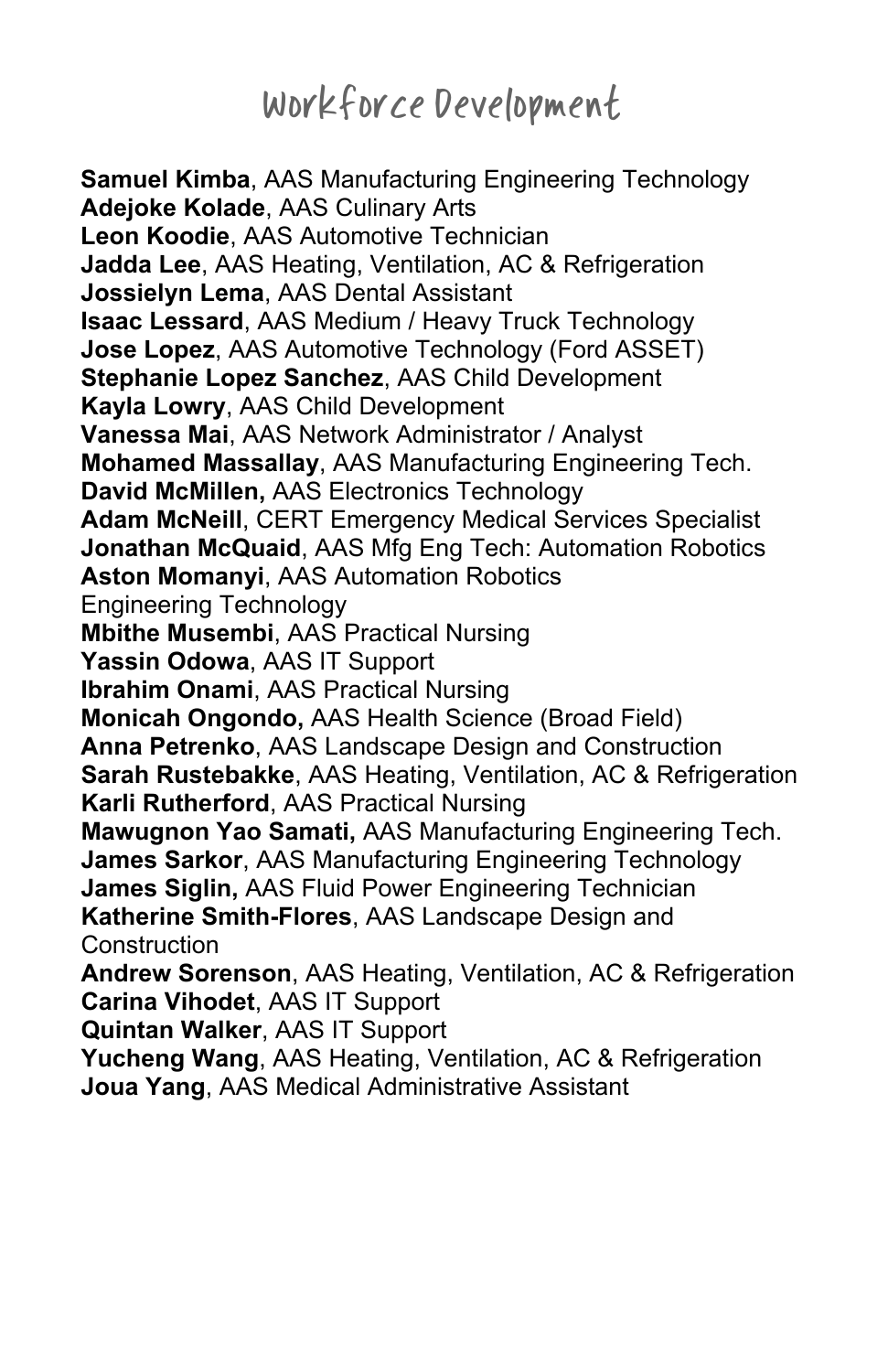# Workforce Development

**Samuel Kimba**, AAS Manufacturing Engineering Technology **Adejoke Kolade**, AAS Culinary Arts **Leon Koodie**, AAS Automotive Technician **Jadda Lee**, AAS Heating, Ventilation, AC & Refrigeration **Jossielyn Lema**, AAS Dental Assistant **Isaac Lessard**, AAS Medium / Heavy Truck Technology **Jose Lopez**, AAS Automotive Technology (Ford ASSET) **Stephanie Lopez Sanchez**, AAS Child Development **Kayla Lowry**, AAS Child Development **Vanessa Mai**, AAS Network Administrator / Analyst **Mohamed Massallay**, AAS Manufacturing Engineering Tech. **David McMillen,** AAS Electronics Technology **Adam McNeill**, CERT Emergency Medical Services Specialist **Jonathan McQuaid**, AAS Mfg Eng Tech: Automation Robotics **Aston Momanyi**, AAS Automation Robotics Engineering Technology **Mbithe Musembi**, AAS Practical Nursing **Yassin Odowa**, AAS IT Support **Ibrahim Onami**, AAS Practical Nursing **Monicah Ongondo,** AAS Health Science (Broad Field) **Anna Petrenko**, AAS Landscape Design and Construction **Sarah Rustebakke**, AAS Heating, Ventilation, AC & Refrigeration **Karli Rutherford**, AAS Practical Nursing **Mawugnon Yao Samati,** AAS Manufacturing Engineering Tech. **James Sarkor**, AAS Manufacturing Engineering Technology **James Siglin,** AAS Fluid Power Engineering Technician **Katherine Smith-Flores**, AAS Landscape Design and **Construction Andrew Sorenson**, AAS Heating, Ventilation, AC & Refrigeration **Carina Vihodet**, AAS IT Support **Quintan Walker**, AAS IT Support **Yucheng Wang**, AAS Heating, Ventilation, AC & Refrigeration

**Joua Yang**, AAS Medical Administrative Assistant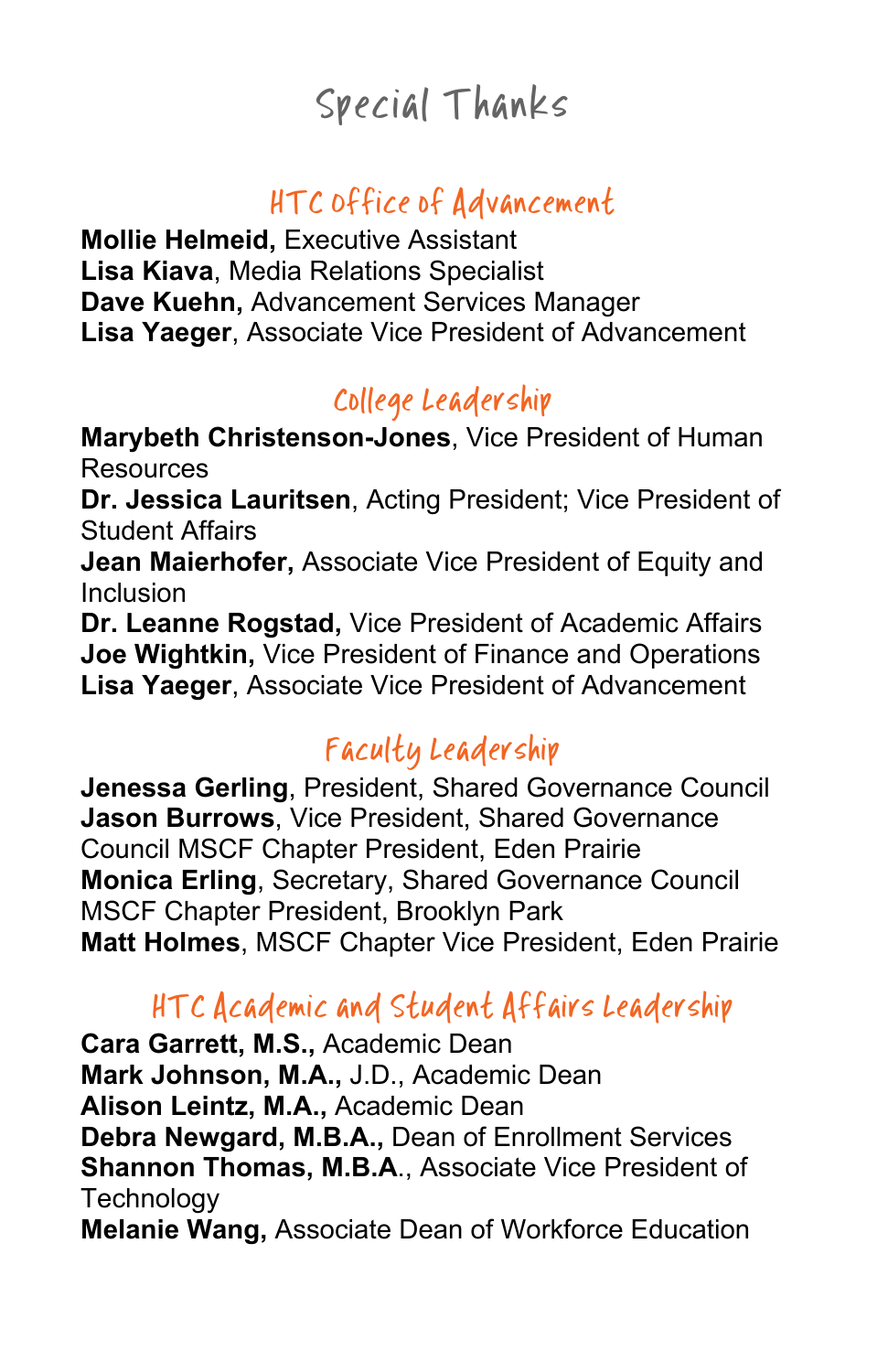# Special Thanks

### HTC Office of Advancement

**Mollie Helmeid,** Executive Assistant **Lisa Kiava**, Media Relations Specialist **Dave Kuehn,** Advancement Services Manager **Lisa Yaeger**, Associate Vice President of Advancement

#### College Leadership

**Marybeth Christenson-Jones**, Vice President of Human **Resources** 

**Dr. Jessica Lauritsen**, Acting President; Vice President of Student Affairs

**Jean Maierhofer,** Associate Vice President of Equity and Inclusion

**Dr. Leanne Rogstad,** Vice President of Academic Affairs **Joe Wightkin,** Vice President of Finance and Operations **Lisa Yaeger**, Associate Vice President of Advancement

### Faculty Leadership

**Jenessa Gerling**, President, Shared Governance Council **Jason Burrows**, Vice President, Shared Governance Council MSCF Chapter President, Eden Prairie **Monica Erling**, Secretary, Shared Governance Council MSCF Chapter President, Brooklyn Park **Matt Holmes**, MSCF Chapter Vice President, Eden Prairie

#### HTC Academic and Student Affairs Leadership

**Cara Garrett, M.S.,** Academic Dean **Mark Johnson, M.A.,** J.D., Academic Dean **Alison Leintz, M.A.,** Academic Dean **Debra Newgard, M.B.A.,** Dean of Enrollment Services **Shannon Thomas, M.B.A**., Associate Vice President of **Technology Melanie Wang,** Associate Dean of Workforce Education